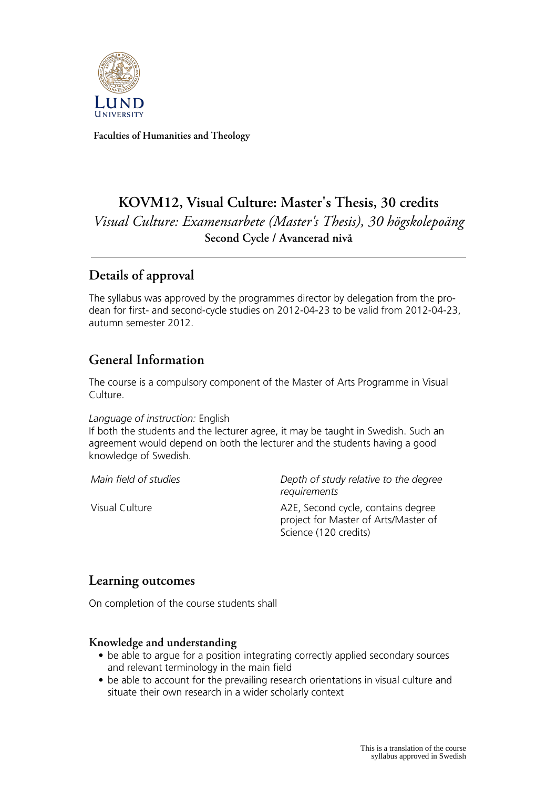

**Faculties of Humanities and Theology**

# **KOVM12, Visual Culture: Master's Thesis, 30 credits** *Visual Culture: Examensarbete (Master's Thesis), 30 högskolepoäng* **Second Cycle / Avancerad nivå**

## **Details of approval**

The syllabus was approved by the programmes director by delegation from the prodean for first- and second-cycle studies on 2012-04-23 to be valid from 2012-04-23, autumn semester 2012.

## **General Information**

The course is a compulsory component of the Master of Arts Programme in Visual Culture.

#### *Language of instruction:* English

If both the students and the lecturer agree, it may be taught in Swedish. Such an agreement would depend on both the lecturer and the students having a good knowledge of Swedish.

*Main field of studies Depth of study relative to the degree requirements*

Visual Culture **A2E**, Second cycle, contains degree project for Master of Arts/Master of Science (120 credits)

### **Learning outcomes**

On completion of the course students shall

#### **Knowledge and understanding**

- be able to argue for a position integrating correctly applied secondary sources and relevant terminology in the main field
- be able to account for the prevailing research orientations in visual culture and situate their own research in a wider scholarly context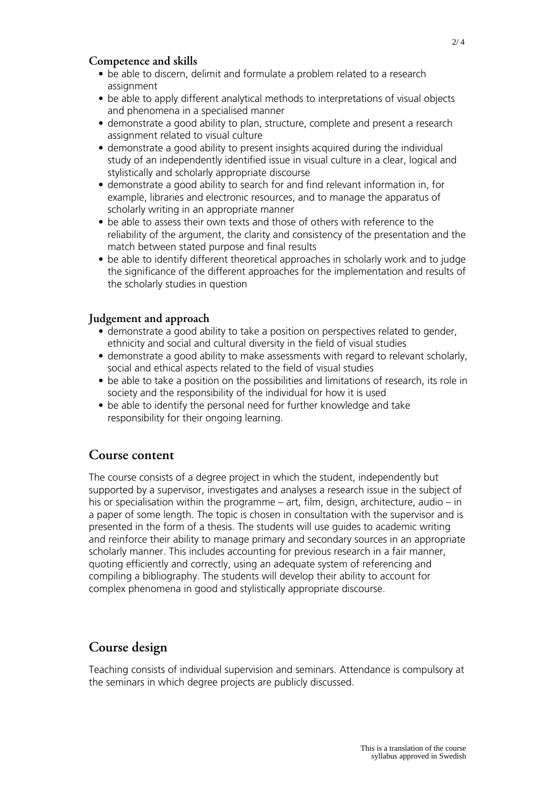#### **Competence and skills**

- be able to discern, delimit and formulate a problem related to a research assignment
- be able to apply different analytical methods to interpretations of visual objects and phenomena in a specialised manner
- demonstrate a good ability to plan, structure, complete and present a research assignment related to visual culture
- demonstrate a good ability to present insights acquired during the individual study of an independently identified issue in visual culture in a clear, logical and stylistically and scholarly appropriate discourse
- demonstrate a good ability to search for and find relevant information in, for example, libraries and electronic resources, and to manage the apparatus of scholarly writing in an appropriate manner
- be able to assess their own texts and those of others with reference to the reliability of the argument, the clarity and consistency of the presentation and the match between stated purpose and final results
- be able to identify different theoretical approaches in scholarly work and to judge the significance of the different approaches for the implementation and results of the scholarly studies in question

#### **Judgement and approach**

- demonstrate a good ability to take a position on perspectives related to gender, ethnicity and social and cultural diversity in the field of visual studies
- demonstrate a good ability to make assessments with regard to relevant scholarly, social and ethical aspects related to the field of visual studies
- be able to take a position on the possibilities and limitations of research, its role in society and the responsibility of the individual for how it is used
- be able to identify the personal need for further knowledge and take responsibility for their ongoing learning.

#### **Course content**

The course consists of a degree project in which the student, independently but supported by a supervisor, investigates and analyses a research issue in the subject of his or specialisation within the programme – art, film, design, architecture, audio – in a paper of some length. The topic is chosen in consultation with the supervisor and is presented in the form of a thesis. The students will use guides to academic writing and reinforce their ability to manage primary and secondary sources in an appropriate scholarly manner. This includes accounting for previous research in a fair manner, quoting efficiently and correctly, using an adequate system of referencing and compiling a bibliography. The students will develop their ability to account for complex phenomena in good and stylistically appropriate discourse.

## **Course design**

Teaching consists of individual supervision and seminars. Attendance is compulsory at the seminars in which degree projects are publicly discussed.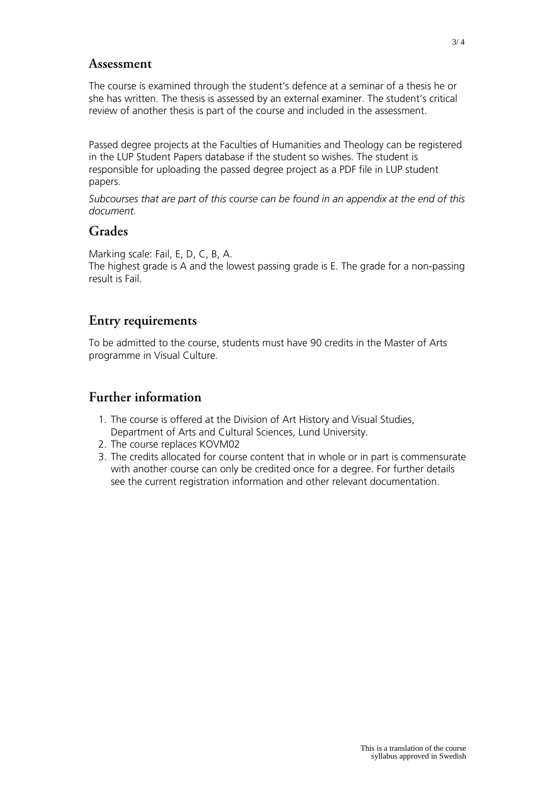#### **Assessment**

The course is examined through the student's defence at a seminar of a thesis he or she has written. The thesis is assessed by an external examiner. The student's critical review of another thesis is part of the course and included in the assessment.

Passed degree projects at the Faculties of Humanities and Theology can be registered in the LUP Student Papers database if the student so wishes. The student is responsible for uploading the passed degree project as a PDF file in LUP student papers.

*Subcourses that are part of this course can be found in an appendix at the end of this document.*

#### **Grades**

Marking scale: Fail, E, D, C, B, A.

The highest grade is A and the lowest passing grade is E. The grade for a non-passing result is Fail.

## **Entry requirements**

To be admitted to the course, students must have 90 credits in the Master of Arts programme in Visual Culture.

### **Further information**

- 1. The course is offered at the Division of Art History and Visual Studies, Department of Arts and Cultural Sciences, Lund University.
- 2. The course replaces KOVM02
- 3. The credits allocated for course content that in whole or in part is commensurate with another course can only be credited once for a degree. For further details see the current registration information and other relevant documentation.